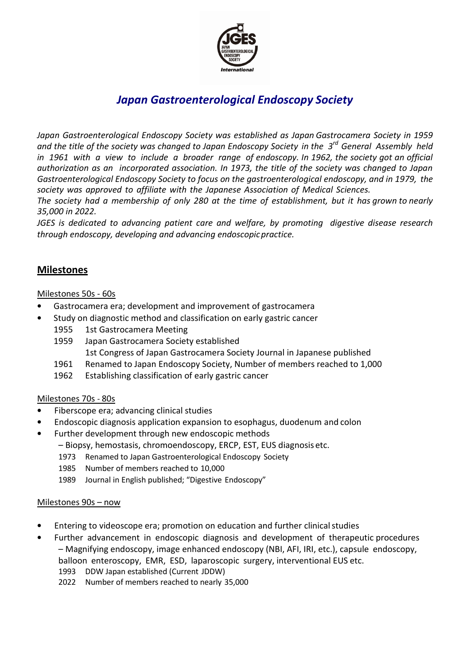

# *Japan Gastroenterological Endoscopy Society*

*Japan Gastroenterological Endoscopy Society was established as Japan Gastrocamera Society in 1959 and the title of the society was changed to Japan Endoscopy Society in the 3 rd General Assembly held in 1961 with a view to include a broader range of endoscopy. In 1962, the society got an official authorization as an incorporated association. In 1973, the title of the society was changed to Japan Gastroenterological Endoscopy Society to focus on the gastroenterological endoscopy, and in 1979, the society was approved to affiliate with the Japanese Association of Medical Sciences.*

*The society had a membership of only 280 at the time of establishment, but it has grown to nearly 35,000 in 2022.*

*JGES is dedicated to advancing patient care and welfare, by promoting digestive disease research through endoscopy, developing and advancing endoscopicpractice.*

### **Milestones**

#### Milestones 50s - 60s

- Gastrocamera era; development and improvement of gastrocamera
- Study on diagnostic method and classification on early gastric cancer
	- 1955 1st Gastrocamera Meeting
	- 1959 Japan Gastrocamera Society established
		- 1st Congress of Japan Gastrocamera Society Journal in Japanese published
	- 1961 Renamed to Japan Endoscopy Society, Number of members reached to 1,000
	- 1962 Establishing classification of early gastric cancer

#### Milestones 70s - 80s

- Fiberscope era; advancing clinical studies
- Endoscopic diagnosis application expansion to esophagus, duodenum and colon
- Further development through new endoscopic methods
	- Biopsy, hemostasis, chromoendoscopy, ERCP, EST, EUS diagnosis etc.
	- 1973 Renamed to Japan Gastroenterological Endoscopy Society
	- 1985 Number of members reached to 10,000
	- 1989 Journal in English published; "Digestive Endoscopy"

#### Milestones 90s – now

- Entering to videoscope era; promotion on education and further clinical studies
- Further advancement in endoscopic diagnosis and development of therapeutic procedures – Magnifying endoscopy, image enhanced endoscopy (NBI, AFI, IRI, etc.), capsule endoscopy,
	- balloon enteroscopy, EMR, ESD, laparoscopic surgery, interventional EUS etc.
		- 1993 DDW Japan established (Current JDDW)
		- 2022 Number of members reached to nearly 35,000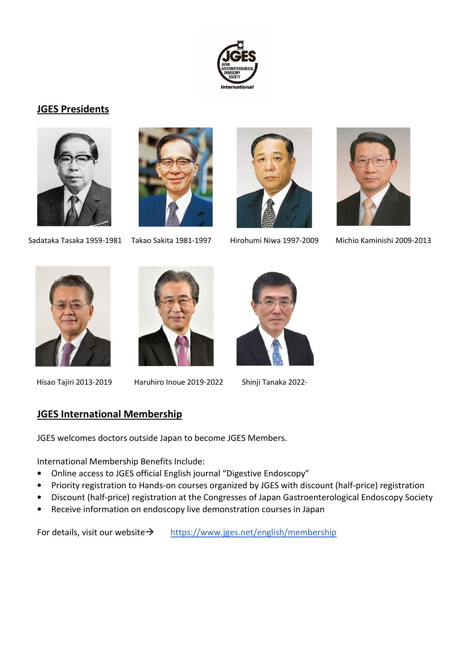

## **JGES Presidents**







Sadataka Tasaka 1959-1981 Takao Sakita 1981-1997 Hirohumi Niwa 1997-2009 Michio Kaminishi 2009-2013



Hisao Tajiri 2013-2019 Haruhiro Inoue 2019-2022 Shinji Tanaka 2022-



## **JGES International Membership**

JGES welcomes doctors outside Japan to become JGES Members.

International Membership Benefits Include:

- Online access to JGES official English journal "Digestive Endoscopy"
- Priority registration to Hands-on courses organized by JGES with discount (half-price) registration
- Discount (half-price) registration at the Congresses of Japan Gastroenterological Endoscopy Society
- Receive information on endoscopy live demonstration courses in Japan

For details, visit our website→ <https://www.jges.net/english/membership>